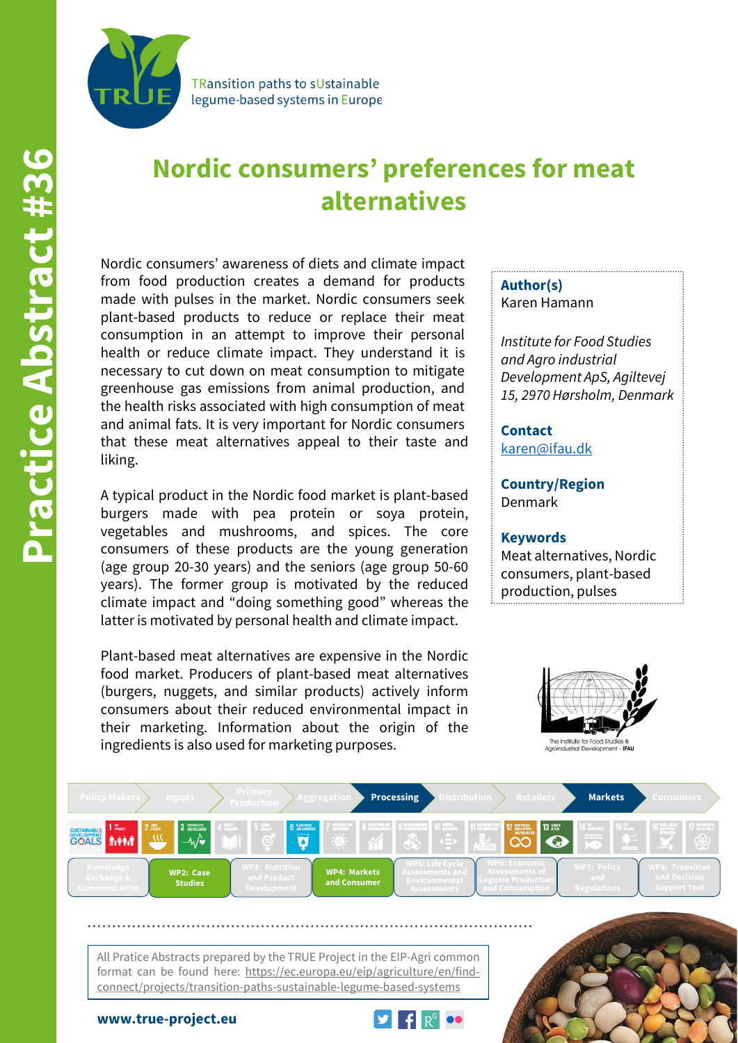

**TRansition paths to sUstainable** legume-based systems in Europe

## **Nordic consumers' preferences for meat alternatives**

Nordic consumers' awareness of diets and climate impact from food production creates a demand for products made with pulses in the market. Nordic consumers seek plant-based products to reduce or replace their meat consumption in an attempt to improve their personal health or reduce climate impact. They understand it is necessary to cut down on meat consumption to mitigate greenhouse gas emissions from animal production, and the health risks associated with high consumption of meat and animal fats. It is very important for Nordic consumers that these meat alternatives appeal to their taste and liking.

A typical product in the Nordic food market is plant-based burgers made with pea protein or soya protein, vegetables and mushrooms, and spices. The core consumers of these products are the young generation (age group 20-30 years) and the seniors (age group 50-60 years). The former group is motivated by the reduced climate impact and "doing something good" whereas the latter is motivated by personal health and climate impact.

Plant-based meat alternatives are expensive in the Nordic food market. Producers of plant-based meat alternatives (burgers, nuggets, and similar products) actively inform consumers about their reduced environmental impact in their marketing. Information about the origin of the ingredients is also used for marketing purposes.

**Author(s)** Karen Hamann

*Institute for Food Studies and Agro industrial Development ApS, Agiltevej 15, 2970 Hørsholm, Denmark*

**Contact** [karen@ifau.dk](mailto:karen@ifau.dk)

**Country/Region** Denmark

## **Keywords**

Meat alternatives, Nordic consumers, plant-based production, pulses





All Pratice Abstracts prepared by the TRUE Project in the EIP-Agri common format can be found here: https://ec.europa.eu/eip/agriculture/en/findconnect/projects/transition-paths-sustainable-legume-based-systems

**www.true-project.eu**